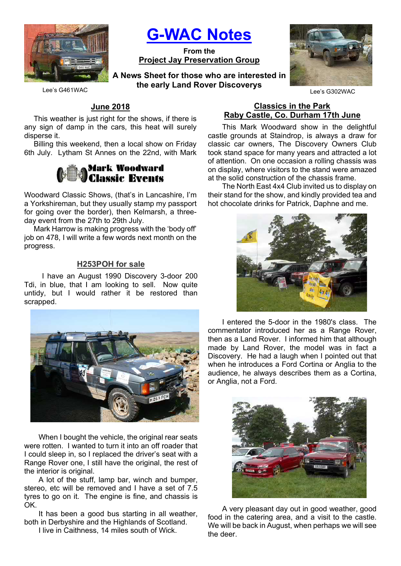

G-WAC Notes

From the Project Jay Preservation Group

A News Sheet for those who are interested in the early Land Rover Discoverys



Lee's G461WAC

## June 2018

This weather is just right for the shows, if there is any sign of damp in the cars, this heat will surely disperse it.

Billing this weekend, then a local show on Friday 6th July. Lytham St Annes on the 22nd, with Mark

# **Mark Woodward<br>Classic Events**

Woodward Classic Shows, (that's in Lancashire, I'm a Yorkshireman, but they usually stamp my passport for going over the border), then Kelmarsh, a threeday event from the 27th to 29th July.

Mark Harrow is making progress with the 'body off' job on 478, I will write a few words next month on the progress.

#### H253POH for sale

 I have an August 1990 Discovery 3-door 200 Tdi, in blue, that I am looking to sell. Now quite untidy, but I would rather it be restored than scrapped.



When I bought the vehicle, the original rear seats were rotten. I wanted to turn it into an off roader that I could sleep in, so I replaced the driver's seat with a Range Rover one, I still have the original, the rest of the interior is original.

A lot of the stuff, lamp bar, winch and bumper, stereo, etc will be removed and I have a set of 7.5 tyres to go on it. The engine is fine, and chassis is OK.

It has been a good bus starting in all weather, both in Derbyshire and the Highlands of Scotland.

I live in Caithness, 14 miles south of Wick.

#### Classics in the Park Raby Castle, Co. Durham 17th June

This Mark Woodward show in the delightful castle grounds at Staindrop, is always a draw for classic car owners, The Discovery Owners Club took stand space for many years and attracted a lot of attention. On one occasion a rolling chassis was on display, where visitors to the stand were amazed at the solid construction of the chassis frame.

The North East 4x4 Club invited us to display on their stand for the show, and kindly provided tea and hot chocolate drinks for Patrick, Daphne and me.



I entered the 5-door in the 1980's class. The commentator introduced her as a Range Rover, then as a Land Rover. I informed him that although made by Land Rover, the model was in fact a Discovery. He had a laugh when I pointed out that when he introduces a Ford Cortina or Anglia to the audience, he always describes them as a Cortina, or Anglia, not a Ford.



A very pleasant day out in good weather, good food in the catering area, and a visit to the castle. We will be back in August, when perhaps we will see the deer.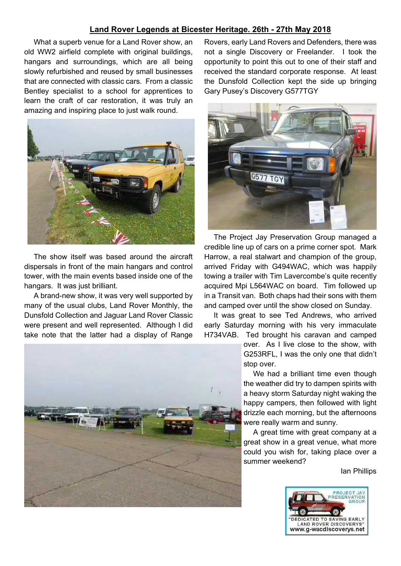### Land Rover Legends at Bicester Heritage. 26th - 27th May 2018

What a superb venue for a Land Rover show, an old WW2 airfield complete with original buildings, hangars and surroundings, which are all being slowly refurbished and reused by small businesses that are connected with classic cars. From a classic Bentley specialist to a school for apprentices to learn the craft of car restoration, it was truly an amazing and inspiring place to just walk round.



The show itself was based around the aircraft dispersals in front of the main hangars and control tower, with the main events based inside one of the hangars. It was just brilliant.

A brand-new show, it was very well supported by many of the usual clubs, Land Rover Monthly, the Dunsfold Collection and Jaguar Land Rover Classic were present and well represented. Although I did take note that the latter had a display of Range

Rovers, early Land Rovers and Defenders, there was not a single Discovery or Freelander. I took the opportunity to point this out to one of their staff and received the standard corporate response. At least the Dunsfold Collection kept the side up bringing Gary Pusey's Discovery G577TGY



The Project Jay Preservation Group managed a credible line up of cars on a prime corner spot. Mark Harrow, a real stalwart and champion of the group, arrived Friday with G494WAC, which was happily towing a trailer with Tim Lavercombe's quite recently acquired Mpi L564WAC on board. Tim followed up in a Transit van. Both chaps had their sons with them and camped over until the show closed on Sunday.

It was great to see Ted Andrews, who arrived early Saturday morning with his very immaculate H734VAB. Ted brought his caravan and camped

> over. As I live close to the show, with G253RFL, I was the only one that didn't stop over.

> We had a brilliant time even though the weather did try to dampen spirits with a heavy storm Saturday night waking the happy campers, then followed with light drizzle each morning, but the afternoons were really warm and sunny.

> A great time with great company at a great show in a great venue, what more could you wish for, taking place over a summer weekend?

> > Ian Phillips



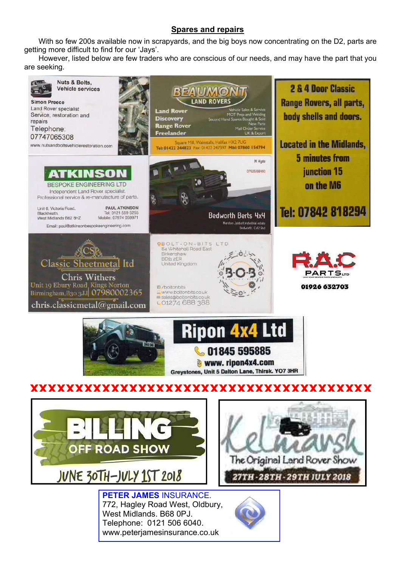## Spares and repairs

With so few 200s available now in scrapyards, and the big boys now concentrating on the D2, parts are getting more difficult to find for our 'Jays'.

However, listed below are few traders who are conscious of our needs, and may have the part that you are seeking.

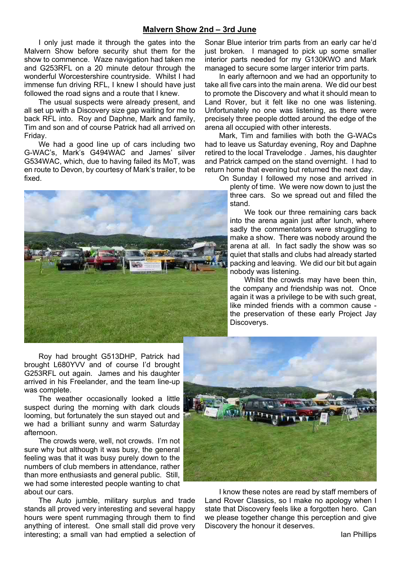#### Malvern Show 2nd – 3rd June

I only just made it through the gates into the Malvern Show before security shut them for the show to commence. Waze navigation had taken me and G253RFL on a 20 minute detour through the wonderful Worcestershire countryside. Whilst I had immense fun driving RFL, I knew I should have just followed the road signs and a route that I knew.

The usual suspects were already present, and all set up with a Discovery size gap waiting for me to back RFL into. Roy and Daphne, Mark and family, Tim and son and of course Patrick had all arrived on Friday.

We had a good line up of cars including two G-WAC's, Mark's G494WAC and James' silver G534WAC, which, due to having failed its MoT, was en route to Devon, by courtesy of Mark's trailer, to be fixed.



Roy had brought G513DHP, Patrick had brought L680YVV and of course I'd brought G253RFL out again. James and his daughter arrived in his Freelander, and the team line-up was complete.

The weather occasionally looked a little suspect during the morning with dark clouds looming, but fortunately the sun stayed out and we had a brilliant sunny and warm Saturday afternoon.

The crowds were, well, not crowds. I'm not sure why but although it was busy, the general feeling was that it was busy purely down to the numbers of club members in attendance, rather than more enthusiasts and general public. Still, we had some interested people wanting to chat about our cars.

The Auto jumble, military surplus and trade stands all proved very interesting and several happy hours were spent rummaging through them to find anything of interest. One small stall did prove very interesting; a small van had emptied a selection of

Sonar Blue interior trim parts from an early car he'd just broken. I managed to pick up some smaller interior parts needed for my G130KWO and Mark managed to secure some larger interior trim parts.

In early afternoon and we had an opportunity to take all five cars into the main arena. We did our best to promote the Discovery and what it should mean to Land Rover, but it felt like no one was listening. Unfortunately no one was listening, as there were precisely three people dotted around the edge of the arena all occupied with other interests.

Mark, Tim and families with both the G-WACs had to leave us Saturday evening, Roy and Daphne retired to the local Travelodge . James, his daughter and Patrick camped on the stand overnight. I had to return home that evening but returned the next day.

On Sunday I followed my nose and arrived in plenty of time. We were now down to just the three cars. So we spread out and filled the stand.

We took our three remaining cars back into the arena again just after lunch, where sadly the commentators were struggling to make a show. There was nobody around the arena at all. In fact sadly the show was so quiet that stalls and clubs had already started packing and leaving. We did our bit but again nobody was listening.

Whilst the crowds may have been thin, the company and friendship was not. Once again it was a privilege to be with such great, like minded friends with a common cause the preservation of these early Project Jay Discoverys.



I know these notes are read by staff members of Land Rover Classics, so I make no apology when I state that Discovery feels like a forgotten hero. Can we please together change this perception and give Discovery the honour it deserves.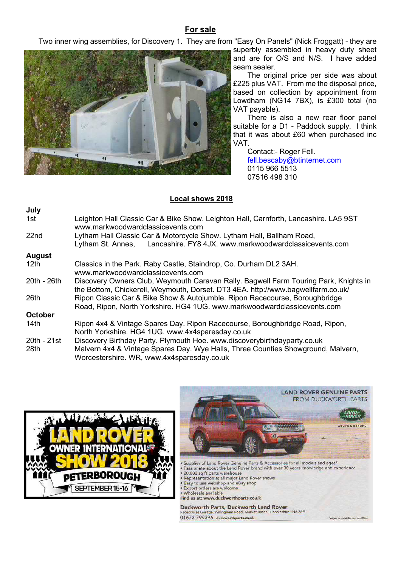## For sale

Two inner wing assemblies, for Discovery 1. They are from "Easy On Panels" (Nick Froggatt) - they are



superbly assembled in heavy duty sheet and are for O/S and N/S. I have added seam sealer.

The original price per side was about £225 plus VAT. From me the disposal price, based on collection by appointment from Lowdham (NG14 7BX), is £300 total (no VAT payable).

There is also a new rear floor panel suitable for a D1 - Paddock supply. I think that it was about £60 when purchased inc VAT.

Contact:- Roger Fell. fell.bescaby@btinternet.com 0115 966 5513 07516 498 310

#### Local shows 2018

| July             |                                                                                                                           |
|------------------|---------------------------------------------------------------------------------------------------------------------------|
| 1st l            | Leighton Hall Classic Car & Bike Show. Leighton Hall, Carnforth, Lancashire. LA5 9ST<br>www.markwoodwardclassicevents.com |
| 22 <sub>nd</sub> | Lytham Hall Classic Car & Motorcycle Show. Lytham Hall, Ballham Road,                                                     |
|                  | Lancashire. FY8 4JX. www.markwoodwardclassicevents.com<br>Lytham St. Annes,                                               |
| <b>August</b>    |                                                                                                                           |
| 12 <sub>th</sub> | Classics in the Park. Raby Castle, Staindrop, Co. Durham DL2 3AH.                                                         |
|                  | www.markwoodwardclassicevents.com                                                                                         |
| 20th - 26th      | Discovery Owners Club, Weymouth Caravan Rally. Bagwell Farm Touring Park, Knights in                                      |
|                  | the Bottom, Chickerell, Weymouth, Dorset. DT3 4EA. http://www.bagwellfarm.co.uk/                                          |
| 26th             | Ripon Classic Car & Bike Show & Autojumble. Ripon Racecourse, Boroughbridge                                               |
|                  | Road, Ripon, North Yorkshire. HG4 1UG. www.markwoodwardclassicevents.com                                                  |
| October          |                                                                                                                           |
| 14th             | Ripon 4x4 & Vintage Spares Day. Ripon Racecourse, Boroughbridge Road, Ripon,                                              |
|                  | North Yorkshire. HG4 1UG. www.4x4sparesday.co.uk                                                                          |
| 20th - 21st      | Discovery Birthday Party. Plymouth Hoe. www.discoverybirthdayparty.co.uk                                                  |
| 28th             | Malvern 4x4 & Vintage Spares Day. Wye Halls, Three Counties Showground, Malvern,                                          |
|                  | Worcestershire. WR, www.4x4sparesday.co.uk                                                                                |